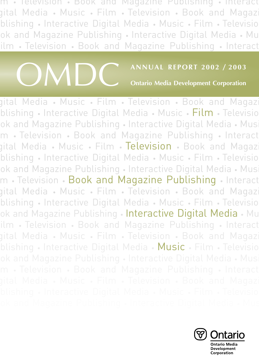m • Television • Book and Magazine Publishing • Interact gital Media • Music • Film • Television • Book and Magazi blishing • Interactive Digital Media • Music • Film • Televisio ok and Magazine Publishing • Interactive Digital Media • Mu ilm • Television • Book and Magazine Publishing • Interact



**Ontario Media Development Corporation**

gital Media • Music • Film • Television • Book and Magazi blishing • Interactive Digital Media • Music • Film • Televisio ok and Magazine Publishing • Interactive Digital Media • Musi m • Television • Book and Magazine Publishing • Interact gital Media • Music • Film • Television • Book and Magaz blishing • Interactive Digital Media • Music • Film • Televisio ok and Magazine Publishing • Interactive Digital Media • Musi m • Television • Book and Magazine Publishing • Interact gital Media • Music • Film • Television • Book and Magazi blishing • Interactive Digital Media • Music • Film • Televisio ok and Magazine Publishing • Interactive Digital Media • Mu ilm • Television • Book and Magazine Publishing • Interact gital Media • Music • Film • Television • Book and Magazi blishing • Interactive Digital Media • Music • Film • Televisio



ontario Media<br>Development<br>Corporation m • Television • Book and Magazine Publishing • Interact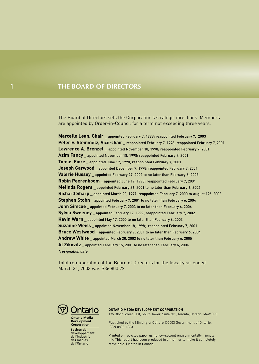### **THE BOARD OF DIRECTORS**

The Board of Directors sets the Corporation's strategic directions. Members are appointed by Order-in-Council for a term not exceeding three years.

**Marcelle Lean, Chair \_** appointed February 7, 1998; reappointed February 7, 2003 **Peter E. Steinmetz, Vice-chair** reappointed February 7, 1998; reappointed February 7, 2001 **Lawrence A. Brenzel \_** appointed November 18, 1998; reappointed February 7, 2001 **Azim Fancy \_** appointed November 18, 1998; reappointed February 7, 2001 **Tomas Fiore \_** appointed June 17, 1998; reappointed February 7, 2001 **Joseph Garwood \_** appointed December 9, 1998; reappointed February 7, 2001 **Valerie Hussey \_** appointed February 27, 2002 to no later than February 6, 2005 **Robin Peerenboom \_** appointed June 17, 1998; reappointed February 7, 2001 **Melinda Rogers \_** appointed February 26, 2001 to no later than February 6, 2004 **Richard Sharp \_** appointed March 20, 1997; reappointed February 7, 2000 to August 19\*, 2002 **Stephen Stohn \_** appointed February 7, 2001 to no later than February 6, 2004 **John Simcoe** appointed February 7, 2003 to no later than February 6, 2006 **Sylvia Sweeney \_** appointed February 17, 1999; reappointed February 7, 2002 **Kevin Warn \_** appointed May 17, 2000 to no later than February 6, 2003 **Suzanne Weiss \_** appointed November 18, 1998; reappointed February 7, 2001 **Bruce Westwood \_** appointed February 7, 2001 to no later than February 6, 2004 **Andrew White \_** appointed March 20, 2002 to no later than February 6, 2005 **Al Zikovitz \_** appointed February 15, 2001 to no later than February 6, 2004 \*resignation date

Total remuneration of the Board of Directors for the fiscal year ended March 31, 2003 was \$36,800.22.



**Ontario Media Development** Corporation Société de développement<br>de l'industrie des médias de l'Ontario

#### **ONTARIO MEDIA DEVELOPMENT CORPORATION**

175 Bloor Street East, South Tower, Suite 501, Toronto, Ontario M4W 3R8

Published by the Ministry of Culture ©2003 Government of Ontario. ISSN 0836-1363

Printed on recycled paper using low-solvent environmentally friendly ink. This report has been produced in a manner to make it completely recyclable. Printed in Canada.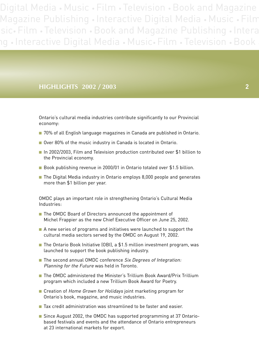### **HIGHLIGHTS 2002 / 2003 2**

Ontario's cultural media industries contribute significantly to our Provincial economy:

- 70% of all English language magazines in Canada are published in Ontario.
- Over 80% of the music industry in Canada is located in Ontario.
- In 2002/2003, Film and Television production contributed over \$1 billion to the Provincial economy.
- Book publishing revenue in 2000/01 in Ontario totaled over \$1.5 billion.
- The Digital Media industry in Ontario employs 8,000 people and generates more than \$1 billion per year.

OMDC plays an important role in strengthening Ontario's Cultural Media Industries:

- The OMDC Board of Directors announced the appointment of Michel Frappier as the new Chief Executive Officer on June 25, 2002.
- A new series of programs and initiatives were launched to support the cultural media sectors served by the OMDC on August 19, 2002.
- The Ontario Book Initiative (OBI), a \$1.5 million investment program, was launched to support the book publishing industry.
- The second annual OMDC conference Six Degrees of Integration: Planning for the Future was held in Toronto.
- The OMDC administered the Minister's Trillium Book Award/Prix Trillium program which included a new Trillium Book Award for Poetry.
- Creation of Home Grown for Holidays joint marketing program for Ontario's book, magazine, and music industries.
- Tax credit administration was streamlined to be faster and easier.
- Since August 2002, the OMDC has supported programming at 37 Ontariobased festivals and events and the attendance of Ontario entrepreneurs at 23 international markets for export.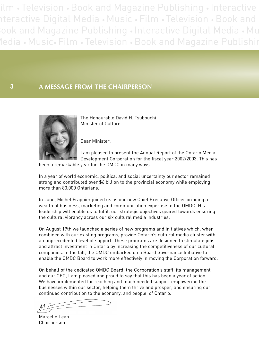ilm • Television • Book and Magazine Publishing • Interactive nteractive Digital Media • Music • Film • Television • Book and Book and Magazine Publishing • Interactive Digital Media • Mu Media • Music• Film • Television • Book and Magazine Publishin

**3 A MESSAGE FROM THE CHAIRPERSON**



The Honourable David H. Tsubouchi Minister of Culture

Dear Minister,

I am pleased to present the Annual Report of the Ontario Media Development Corporation for the fiscal year 2002/2003. This has

been a remarkable year for the OMDC in many ways.

In a year of world economic, political and social uncertainty our sector remained strong and contributed over \$6 billion to the provincial economy while employing more than 80,000 Ontarians.

In June, Michel Frappier joined us as our new Chief Executive Officer bringing a wealth of business, marketing and communication expertise to the OMDC. His leadership will enable us to fulfill our strategic objectives geared towards ensuring the cultural vibrancy across our six cultural media industries.

On August 19th we launched a series of new programs and initiatives which, when combined with our existing programs, provide Ontario's cultural media cluster with an unprecedented level of support. These programs are designed to stimulate jobs and attract investment in Ontario by increasing the competitiveness of our cultural companies. In the fall, the OMDC embarked on a Board Governance Initiative to enable the OMDC Board to work more effectively in moving the Corporation forward.

On behalf of the dedicated OMDC Board, the Corporation's staff, its management and our CEO, I am pleased and proud to say that this has been a year of action. We have implemented far reaching and much needed support empowering the businesses within our sector, helping them thrive and prosper, and ensuring our continued contribution to the economy, and people, of Ontario.

Marcelle Lean Chairperson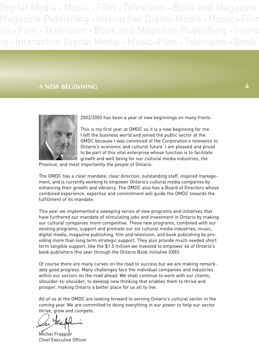## **A NEW BEGINNING 4**



2002/2003 has been a year of new beginnings on many fronts.

This is my first year at OMDC so it is a new beginning for me. I left the business world and joined the public sector at the OMDC because I was convinced of the Corporation's relevance to Ontario's economic and cultural future. I am pleased and proud to be part of this vital enterprise whose function is to facilitate growth and well being for our cultural media industries, the

Province, and most importantly the people of Ontario.

The OMDC has a clear mandate, clear direction, outstanding staff, inspired management, and is currently working to empower Ontario's cultural media companies by enhancing their growth and vibrancy. The OMDC also has a Board of Directors whose combined experience, expertise and commitment will guide the OMDC towards the fulfillment of its mandate.

This year we implemented a sweeping series of new programs and initiatives that have furthered our mandate of stimulating jobs and investment in Ontario by making our cultural companies more competitive. These new programs, combined with our existing programs, support and promote our six cultural media industries, music, digital media, magazine publishing, film and television, and book publishing by providing more than long term strategic support. They also provide much needed short term tangible support, like the \$1.5 million we invested to empower 46 of Ontario's book publishers this year through the Ontario Book Initiative (OBI).

Of course there are many curves on the road to success but we are making remarkably good progress. Many challenges face the individual companies and industries within our sectors on the road ahead. We shall continue to work with our clients, shoulder-to-shoulder, to develop new thinking that enables them to thrive and prosper, making Ontario a better place for us all to live.

All of us at the OMDC are looking forward to serving Ontario's cultural sector in the coming year. We are committed to doing everything in our power to help our sector thrive, grow and compete.

Michel Frappier Chief Executive Officer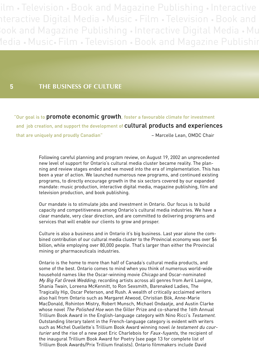ilm • Television • Book and Magazine Publishing • Interactive nteractive Digital Media • Music • Film • Television • Book and Book and Magazine Publishing • Interactive Digital Media • Mu Media • Music• Film • Television • Book and Magazine Publishin

### **THE BUSINESS OF CULTURE**

**5**

"Our goal is to promote economic growth, foster a favourable climate for investment and job creation, and support the development of cultural products and experiences that are uniquely and proudly Canadian" – The Marcelle Lean, OMDC Chair

> Following careful planning and program review, on August 19, 2002 an unprecedented new level of support for Ontario's cultural media cluster became reality. The planning and review stages ended and we moved into the era of implementation. This has been a year of action. We launched numerous new programs, and continued existing programs, to directly encourage growth in the six sectors covered by our expanded mandate: music production, interactive digital media, magazine publishing, film and television production, and book publishing.

Our mandate is to stimulate jobs and investment in Ontario. Our focus is to build capacity and competitiveness among Ontario's cultural media industries. We have a clear mandate, very clear direction, and are committed to delivering programs and services that will enable our clients to grow and prosper.

Culture is also a business and in Ontario it's big business. Last year alone the combined contribution of our cultural media cluster to the Provincial economy was over \$6 billion, while employing over 80,000 people. That's larger than either the Provincial mining or pharmaceuticals industries.

Ontario is the home to more than half of Canada's cultural media products, and some of the best. Ontario comes to mind when you think of numerous world-wide household names like the Oscar-winning movie Chicago and Oscar-nominated My Big Fat Greek Wedding; recording artists across all genres from Avril Lavigne, Shania Twain, Loreena McKennitt, to Ron Sexsmith, Barenaked Ladies, The Tragically Hip, Oscar Peterson, and Rush. A wealth of critically acclaimed writers also hail from Ontario such as Margaret Atwood, Christian Bök, Anne-Marie MacDonald, Rohinton Mistry, Robert Munsch, Michael Ondaatje, and Austin Clarke whose novel *The Polished Hoe* won the Giller Prize and co-shared the 16th Annual Trillium Book Award in the English-language category with Nino Ricci's Testament. Outstanding literary talent in the French-language category is evident with writers such as Michel Ouellette's Trillium Book Award winning novel le testament du courturier and the rise of a new poet Eric Charlebois for Faux-fuyants, the recipient of the inaugural Trillium Book Award for Poetry (see page 13 for complete list of Trillium Book Awards/Prix Trillium finalists). Ontario filmmakers include David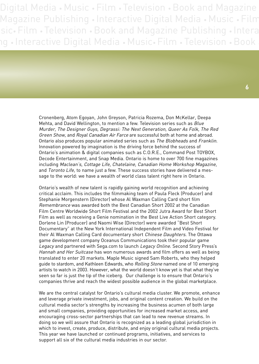> Cronenberg, Atom Egoyan, John Greyson, Patricia Rozema, Don McKellar, Deepa Mehta, and David Wellington, to mention a few. Television series such as Blue Murder, The Designer Guys, Degrassi: The Next Generation, Queer As Folk, The Red Green Show, and Royal Canadian Air Farce are successful both at home and abroad. Ontario also produces popular animated series such as The Blobheads and Franklin. Innovation powered by imagination is the driving force behind the success of Ontario's animation & digital companies such as C.O.R.E., Command Post TOYBOX, Decode Entertainment, and Snap Media. Ontario is home to over 700 fine magazines including Maclean's, Cottage Life, Chatelaine, Canadian Home Workshop Magazine, and Toronto Life, to name just a few. These success stories have delivered a message to the world: we have a wealth of world class talent right here in Ontario.

> Ontario's wealth of new talent is rapidly gaining world recognition and achieving critical acclaim. This includes the filmmaking team of Paula Fleck (Producer) and Stephanie Morgenstern (Director) whose Al Waxman Calling Card short film Remembrance was awarded both the Best Canadian Short 2002 at the Canadian Film Centre Worldwide Short Film Festival and the 2002 Jutra Award for Best Short Film as well as receiving a Genie nomination in the Best Live Action Short category. Dorlene Lin (Producer) and Naomi Wise (Director) were awarded "Best Short Documentary" at the New York International Independent Film and Video Festival for their Al Waxman Calling Card documentary short Chinese Daughters. The Ottawa game development company Oceanus Communications took their popular game Legacy and partnered with Sega.com to launch Legacy Online. Second Story Press's Hannah and Her Suitcase has won numerous awards and film offers as well as being translated to enter 20 markets. Maple Music signed Sam Roberts, who they helped guide to stardom, and Kathleen Edwards, who Rolling Stone named one of 10 emerging artists to watch in 2003. However, what the world doesn't know yet is that what they've seen so far is just the tip of the iceberg. Our challenge is to ensure that Ontario's companies thrive and reach the widest possible audience in the global marketplace.

> We are the central catalyst for Ontario's cultural media cluster. We promote, enhance and leverage private investment, jobs, and original content creation. We build on the cultural media sector's strengths by increasing the business acumen of both large and small companies, providing opportunities for increased market access, and encouraging cross-sector partnerships that can lead to new revenue streams. In doing so we will assure that Ontario is recognized as a leading global jurisdiction in which to invest, create, produce, distribute, and enjoy original cultural media projects. This year we have launched or continued programs, initiatives, and services to support all six of the cultural media industries in our sector.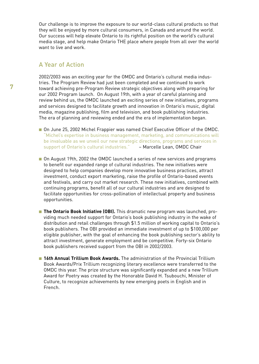Our challenge is to improve the exposure to our world-class cultural products so that they will be enjoyed by more cultural consumers, in Canada and around the world. Our success will help elevate Ontario to its rightful position on the world's cultural media stage, and help make Ontario THE place where people from all over the world want to live and work.

### A Year of Action

2002/2003 was an exciting year for the OMDC and Ontario's cultural media industries. The Program Review had just been completed and we continued to work toward achieving pre-Program Review strategic objectives along with preparing for our 2002 Program launch. On August 19th, with a year of careful planning and review behind us, the OMDC launched an exciting series of new initiatives, programs and services designed to facilitate growth and innovation in Ontario's music, digital media, magazine publishing, film and television, and book publishing industries. The era of planning and reviewing ended and the era of implementation began.

- On June 25, 2002 Michel Frappier was named Chief Executive Officer of the OMDC. "Michel's expertise in business management, marketing, and communications will be invaluable as we unveil our new strategic directions, programs and services in support of Ontario's cultural industries." - Marcelle Lean, OMDC Chair
- On August 19th, 2002 the OMDC launched a series of new services and programs to benefit our expanded range of cultural industries. The new initiatives were designed to help companies develop more innovative business practices, attract investment, conduct export marketing, raise the profile of Ontario-based events and festivals, and carry out market research. These new initiatives, combined with continuing programs, benefit all of our cultural industries and are designed to facilitate opportunities for cross-pollination of intellectual property and business opportunities.
- **The Ontario Book Initiative (OBI).** This dramatic new program was launched, providing much needed support for Ontario's book publishing industry in the wake of distribution and retail challenges through \$1.5 million of working capital to Ontario's book publishers. The OBI provided an immediate investment of up to \$100,000 per eligible publisher, with the goal of enhancing the book publishing sector's ability to attract investment, generate employment and be competitive. Forty-six Ontario book publishers received support from the OBI in 2002/2003.
- 16th Annual Trillium Book Awards. The administration of the Provincial Trillium Book Awards/Prix Trillium recognizing literary excellence were transferred to the OMDC this year. The prize structure was significantly expanded and a new Trillium Award for Poetry was created by the Honorable David H. Tsubouchi, Minister of Culture, to recognize achievements by new emerging poets in English and in French.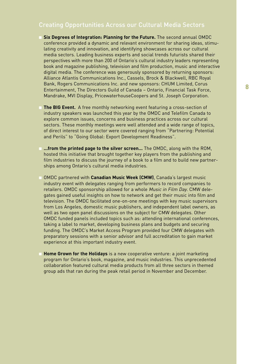### Creating Opportunities Across our Cultural Media Sectors

- **Six Degrees of Integration: Planning for the Future.** The second annual OMDC conference provided a dynamic and relevant environment for sharing ideas, stimulating creativity and innovation, and identifying showcases across our cultural media sectors. Leading business experts and social trends futurists shared their perspectives with more than 200 of Ontario's cultural industry leaders representing book and magazine publishing, television and film production, music and interactive digital media. The conference was generously sponsored by returning sponsors: Alliance Atlantis Communications Inc., Cassels, Brock & Blackwell, RBC Royal Bank, Rogers Communications Inc. and new sponsors: CHUM Limited, Corus Entertainment, The Directors Guild of Canada – Ontario, Financial Task Force, Mandrake, MVI Display, PricewaterhouseCoopers and St. Joseph Corporation.
- **The BIG Event.** A free monthly networking event featuring a cross-section of industry speakers was launched this year by the OMDC and Telefilm Canada to explore common issues, concerns and business practices across our cultural sectors. These monthly meetings were well attended and a wide range of topics, of direct interest to our sector were covered ranging from "Partnering: Potential and Perils" to "Going Global: Export Development Readiness".
- **...from the printed page to the silver screen...** The OMDC, along with the ROM, hosted this initiative that brought together key players from the publishing and film industries to discuss the journey of a book to a film and to build new partnerships among Ontario's cultural media industries.
- OMDC partnered with **Canadian Music Week (CMW)**, Canada's largest music industry event with delegates ranging from performers to record companies to retailers. OMDC sponsorship allowed for a whole Music in Film Day. CMW delegates gained useful insights on how to network and get their music into film and television. The OMDC facilitated one-on-one meetings with key music supervisors from Los Angeles, domestic music publishers, and independent label owners, as well as two open panel discussions on the subject for CMW delegates. Other OMDC funded panels included topics such as: attending international conferences, taking a label to market, developing business plans and budgets and securing funding. The OMDC's Market Access Program provided four CMW delegates with preparatory sessions with a senior advisor and full accreditation to gain market experience at this important industry event.
- **Home Grown for the Holidays** is a new cooperative venture: a joint marketing program for Ontario's book, magazine, and music industries. This unprecedented collaboration featured cultural media products from all three sectors in themed group ads that ran during the peak retail period in November and December.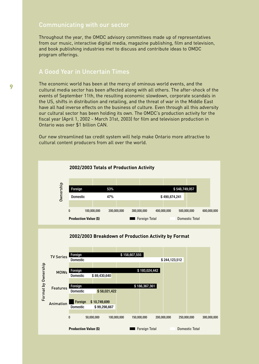### Communicating with our sector

Throughout the year, the OMDC advisory committees made up of representatives from our music, interactive digital media, magazine publishing, film and television, and book publishing industries met to discuss and contribute ideas to OMDC program offerings.

### A Good Year in Uncertain Times

The economic world has been at the mercy of ominous world events, and the cultural media sector has been affected along with all others. The after-shock of the events of September 11th, the resulting economic slowdown, corporate scandals in the US, shifts in distribution and retailing, and the threat of war in the Middle East have all had inverse effects on the business of culture. Even through all this adversity our cultural sector has been holding its own. The OMDC's production activity for the fiscal year (April 1, 2002 - March 31st, 2003) for film and television production in Ontario was over \$1 billion CAN.

Our new streamlined tax credit system will help make Ontario more attractive to cultural content producers from all over the world.





**9**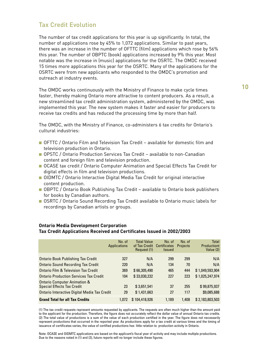### Tax Credit Evolution

The number of tax credit applications for this year is up significantly. In total, the number of applications rose by 45% to 1,072 applications. Similar to past years, there was an increase in the number of OFTTC (film) applications which rose by 56% this year. The number of OBPTC (book) applications increased by 9% this year. Most notable was the increase in (music) applications for the OSRTC. The OMDC received 15 times more applications this year for the OSRTC. Many of the applications for the OSRTC were from new applicants who responded to the OMDC's promotion and outreach at industry events.

The OMDC works continuously with the Ministry of Finance to make cycle times faster, thereby making Ontario more attractive to content producers. As a result, a new streamlined tax credit administration system, administered by the OMDC, was implemented this year. The new system makes it faster and easier for producers to receive tax credits and has reduced the processing time by more than half.

The OMDC, with the Ministry of Finance, co-administers 6 tax credits for Ontario's cultural industries:

- OFTTC / Ontario Film and Television Tax Credit available for domestic film and television production in Ontario.
- OPSTC / Ontario Production Services Tax Credit available to non-Canadian content and foreign film and television production.
- OCASE tax credit / Ontario Computer Animation and Special Effects Tax Credit for digital effects in film and television productions.
- OIDMTC / Ontario Interactive Digital Media Tax Credit for original interactive content production.
- OBPTC / Ontario Book Publishing Tax Credit available to Ontario book publishers for books by Canadian authors.
- OSRTC / Ontario Sound Recording Tax Credit available to Ontario music labels for recordings by Canadian artists or groups.

|                                               | No. of              | <b>Total Value</b>         | No. of                      | No. of          | Total           |
|-----------------------------------------------|---------------------|----------------------------|-----------------------------|-----------------|-----------------|
|                                               | <b>Applications</b> | of Tax Credit Certificates |                             | <b>Projects</b> | Productiont     |
|                                               |                     | Request (1)                | <i><u><b>Issued</b></u></i> |                 | Value (2)       |
| <b>Ontario Book Publishing Tax Credit</b>     | 327                 | N/A                        | 299                         | 299             | N/A             |
| <b>Ontario Sound Recording Tax Credit</b>     | 220                 | N/A                        | 134                         | 70              | N/A             |
| Ontario Film & Television Tax Credit          | 369                 | \$66,305,490               | 465                         | 444             | \$1.049.593.904 |
| <b>Ontario Production Services Tax Credit</b> | 104                 | \$33,030,232               | 227                         | 223             | \$1,025,247,974 |
| <b>Ontario Computer Animation &amp;</b>       |                     |                            |                             |                 |                 |
| <b>Special Effects Tax Credit</b>             | 23                  | \$3,651,541                | 37                          | 255             | \$99,875,937    |
| Ontario Interactive Digital Media Tax Credit  | 29                  | \$1,431,663                | 27                          | 117             | \$9,085,688     |
| <b>Grand Total for all Tax Credits</b>        | 1.072               | \$104,418,926              | 1.189                       | 1.408           | \$2,183,803,503 |

#### **Ontario Media Development Corporation Tax Credit Applications Received and Certificates Issued in 2002/2003**

(1) The tax credit requests represent amounts requested by applicants. The requests are often much higher than the amount paid to the applicant for the production. Therefore, the figure does not accurately reflect the dollar value of annual Ontario tax credits. (2) The total value of productions is a sum of the value of each production certified in the year. The figure does not necessarily represent productions that occurred in the reported year. As productions apply for a tax credit at various times and the timing of issuance of certificates varies, the value of certified productions has little relation to production activity in Ontario.

Note: OCASE and OIDMTC applications are based on the applicant's fiscal year of activity and may include multiple productions. Due to the reasons noted in (1) and (2), future reports will no longer include these figures.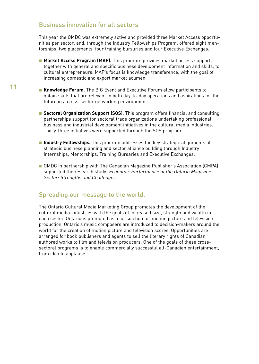### Business innovation for all sectors

This year the OMDC was extremely active and provided three Market Access opportunities per sector, and, through the Industry Fellowships Program, offered eight mentorships, two placements, four training bursuries and four Executive Exchanges.

- Market Access Program (MAP). This program provides market access support, together with general and specific business development information and skills, to cultural entrepreneurs. MAP's focus is knowledge transference, with the goal of increasing domestic and export market acumen.
- **Knowledge Forum.** The BIG Event and Executive Forum allow participants to obtain skills that are relevant to both day-to-day operations and aspirations for the future in a cross-sector networking environment.
	- **Sectoral Organization Support (SOS)**. This program offers financial and consulting partnerships support for sectoral trade organizations undertaking professional, business and industrial development initiatives in the cultural media industries. Thirty-three initiatives were supported through the SOS program.
	- **Industry Fellowships.** This program addresses the key strategic alignments of strategic business planning and sector alliance building through Industry Internships, Mentorships, Training Bursaries and Executive Exchanges.
	- OMDC in partnership with The Canadian Magazine Publisher's Association (CMPA) supported the research study: Economic Performance of the Ontario Magazine Sector: Strengths and Challenges.

### Spreading our message to the world.

The Ontario Cultural Media Marketing Group promotes the development of the cultural media industries with the goals of increased size, strength and wealth in each sector. Ontario is promoted as a jurisdiction for motion picture and television production. Ontario's music composers are introduced to decision-makers around the world for the creation of motion picture and television scores. Opportunities are arranged for book publishers and agents to sell the literary rights of Canadian authored works to film and television producers. One of the goals of these crosssectoral programs is to enable commercially successful all-Canadian entertainment, from idea to applause.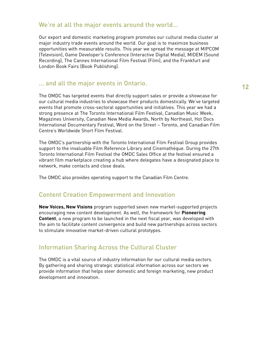### We're at all the major events around the world…

Our export and domestic marketing program promotes our cultural media cluster at major industry trade events around the world. Our goal is to maximize business opportunities with measurable results. This year we spread the message at MIPCOM (Television), Game Developer's Conference (Interactive Digital Media), MIDEM (Sound Recording), The Cannes International Film Festival (Film), and the Frankfurt and London Book Fairs (Book Publishing).

### … and all the major events in Ontario.

The OMDC has targeted events that directly support sales or provide a showcase for our cultural media industries to showcase their products domestically. We've targeted events that promote cross-sectoral opportunities and initiatives. This year we had a strong presence at The Toronto International Film Festival, Canadian Music Week, Magazines University, Canadian New Media Awards, North by Northeast, Hot Docs International Documentary Festival, Word on the Street – Toronto, and Canadian Film Centre's Worldwide Short Film Festival.

The OMDC's partnership with the Toronto International Film Festival Group provides support to the invaluable Film Reference Library and Cinemathèque. During the 27th Toronto International Film Festival the OMDC Sales Office at the festival ensured a vibrant film marketplace creating a hub where delegates have a designated place to network, make contacts and close deals.

The OMDC also provides operating support to the Canadian Film Centre.

### Content Creation Empowerment and Innovation

**New Voices, New Visions** program supported seven new market-supported projects encouraging new content development. As well, the framework for **Pioneering Content**, a new program to be launched in the next fiscal year, was developed with the aim to facilitate content convergence and build new partnerships across sectors to stimulate innovative market-driven cultural prototypes.

### Information Sharing Across the Cultural Cluster

The OMDC is a vital source of industry information for our cultural media sectors. By gathering and sharing strategic statistical information across our sectors we provide information that helps steer domestic and foreign marketing, new product development and innovation.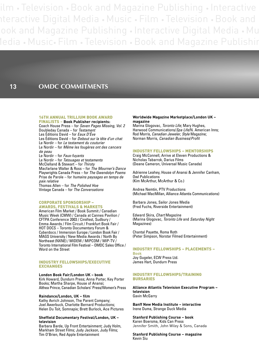ilm • Television • Book and Magazine Publishing • Interactive nteractive Digital Media • Music • Film • Television • Book and ook and Magazine Publishing • Interactive Digital Media • Mu Media • Music• Film • Television • Book and Magazine Publishin

**13 OMDC COMMITMENTS**

### 16TH ANNUAL TRILLIUM BOOK AWARD

FINALISTS **– Book Publisher recipients:** Coach House Press – for *Seven Pages Missing, Vol. 2* Doubleday Canada – for *Testament* Les Éditions David – for *Eaux D'Ève* Les Éditions David – for *Debout sur la tête d'un chat* Le Nordir – for *Le testament du couturier* Le Nordir – for *Même les fougères ont des cancers de peau* Le Nordir – for *Faux-fuyants* Le Nordir – for *Tatouages et testaments* McClelland & Stewart – for *Thirsty* Macfarlane Walter & Ross – for *The Mourner's Dance* Playwrights Canada Press – for *The Gwendolyn Poems* Prise de Parole – for *humains paysages en temps de paix relative* Thomas Allen – for *The Polished Hoe* Vintage Canada – for *The Conversations*

#### CORPORATE SPONSORSHIP – AWARDS, FESTIVALS & MARKETS

American Film Market / Book Summit / Canadian Music Week (CMW) / Canada at Cannes Pavilion / CFTPA Conference 2003 / Cinéfest, Sudbury / Emma Awards / Film Circuit / Frankfurt Book Fair / HOT DOCS – Toronto Documentary Forum & Cyberdocs / Immersion Europe / London Book Fair / MAGS University / New Media Awards / North By Northeast (NXNE) / MIDEM / MIPCOM / MIP-TV / Toronto International Film Festival – OMDC Sales Office / Word on the Street

#### INDUSTRY FELLOWSHIPS/EXECUTIVE EXCHANGES

#### **London Book Fair/London UK – book**

Kirk Howard, Dundurn Press; Anna Porter, Key Porter Books; Martha Sharpe, House of Anansi; Althea Prince, Canadian Scholars' Press/Women's Press

#### **Raindance/London, UK – film**

Kathy Avrich Johnson, The Parent Company; Joel Awerbuck, Charlotte Bernard Productions; Helen Du Toit, Somnapix; Brett Burlock, Ace Pictures

#### **Sheffield Documentary Festival/London, UK – television**

Barbara Barde, Up Front Entertainment; Judy Holm, Markham Street Films; Judy Jackson, Judy Films; Tim O'Brien, Red Apple Entertainment

#### **Worldwide Magazine Marketplace/London UK – magazine**

Marina Glogovac, *Toronto Life*; Mary Hughes, Harwood Communications/*Spa Life*/N. American Inns; Rod Morris, *Canadian Jeweler*, *Style* Magazine; Norman Morris, *Canadian Business*/*Profit*

#### INDUSTRY FELLOWSHIPS – MENTORSHIPS

Craig McConnell, Arrive at Eleven Productions & Nicholas Tabarrok, Darius Films (Deane Cameron, Universal Music Canada)

Adrienne Leahey, House of Anansi & Jennifer Canham, Owl Publications (Kim McArthur, McArthur & Co.)

Andrea Nemtin, PTV Productions (Michael MacMillan, Alliance Atlantis Communications)

Barbara Jones, Sailor Jones Media (Fred Fuchs, Riverside Entertainment)

Edward Skira, *Chart* Magazine (Marina Glogovac, *Toronto Life* and *Saturday Night* Magazines)

Chantal Payette, Roma Roth (Peter Simpson, Norstar Filmed Entertainment)

INDUSTRY FELLOWSHIPS – PLACEMENTS – **Book** Joy Gugeler, ECW Press Ltd. James Hart, Dundurn Press

#### INDUSTRY FELLOWSHIPS/TRAINING BURSARIES

**Alliance Atlantis Television Executive Program – television** Gavin McGarry

**Banff New Media Institute – interactive** Irene Duma, Strange Duck Media

**Stanford Publishing Course – book** Karen Boersma, Kids Can Press Jennifer Smith, John Wiley & Sons, Canada

**Stanford Publishing Course – magazine** Kevin Siu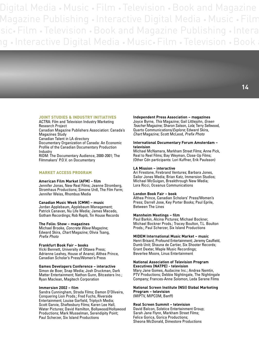### JOINT STUDIES & INDUSTRY INITIATIVES

ACTRA: Film and Television Industry Marketing Research Project

Canadian Magazine Publishers Association: Canada's Magazines Study

Canadian Talent in LA directory

Documentary Organization of Canada: An Economic Profile of the Canadian Documentary Production Industry

RIDM: The Documentary Audience, 2000-2001; The Filmmakers' P.O.V. on Documentary

#### MARKET ACCESS PROGRAM

#### **American Film Market (AFM) – film**

Jennifer Jonas, New Real Films; Jeanne Stromberg, Stromhaus Productions; Simone Urdl, The Film Farm; Jennifer Weiss, Rhombus Media

#### **Canadian Music Week (CMW) – music**

Jordan Applebaum, Applebaum Management; Patrick Canavan, Nu Life Media; James Macedo, Gotham Recordings; Rob Rapiti, Tin House Records

#### **The Folio: Show – magazines**

Michael Brooke, *Concrete Wave* Magazine; Edward Skira, *Chart* Magazine; Olivia Tsang, *Prefix Photo*

#### **Frankfurt Book Fair – books**

Vicki Bennett, University of Ottawa Press; Adrienne Leahey, House of Anansi; Althea Prince, Canadian Scholar's Press/Women's Press

#### **Games Developers Conference – interactive**

Simon de Boer, Snap Media; Josh Druckman, Dark Matter Entertainment; Nathon Gunn, Bitcasters Inc.; Ryan Maclean, Magitech Corporation

#### **Immersion 2002 – film**

Sandra Cunningham, Strada Films; Damon D'Oliveira, Conquering Lion Prods.; Fred Fuchs, Riverside Entertainment; Louise Garfield, Triptych Media; Scott Garvie, Shaftesbury Films; Karen Lee Hall, Water Pictures; David Hamilton, Bollywood/Hollywood Productions; Mark Musselman, Serendipity Point; Paul Scherzer, Six Island Productions

#### **Independent Press Association – magazines**

Joyce Byrne, *This* Magazine; Gail Littlejohn, *Green Teacher* Magazine; Sharon Salson, *Lola*; Terry Sellwood, Quarto Communications/*Explore*; Edward Skira, *Chart* Magazine; Scott McLeod, *Prefix Photo*

#### **International Documentary Forum Amsterdam – television**

Michael McNamara, Markham Street Films; Anne Pick, Real to Reel Films; Bay Weyman, Close-Up Films; (Other Cdn participants: Lori Kuffner, Erik Paulsson)

#### **LA Mission – interactive**

Ari Firestone, Firebrand Ventures; Barbara Jones, Sailor Jones Media; Brian Katz, Immersion Studios; Michael McGuigan, Breakthrough New Media; Lora Ricci, Oceanus Communications

#### **London Book Fair – book**

Althea Prince, Canadian Scholars' Press/Women's Press; Darrell Jose, Key Porter Books; Paul Eprile, Between The Lines

#### **Mannheim Meetings – film**

Paul Barkin, Alcina Pictures; Michael Bockner, Michael Bockner Prods.; Tracey Boulton, T.L. Boulton Prods.; Paul Scherzer, Six Island Productions

#### **MIDEM International Music Market – music**

Henri Brisard, Profound Entertainment; Jeremy Caulfield, Dumb Unit; Shauna de Cartier, Six Shooter Records; Grant Dexter, Maple Music Recordings; Beverlee Moore, Linus Entertainment

#### **National Association of Television Program Executives (NATPE) - television**

Mary Jane Gomes, Audacine Inc.; Andrea Nemtin, PTV Productions; Debbie Nightingale, The Nightingale Company; Frances-Anne Solomon, Leda Serene Films

#### **National Screen Institute (NSI) Global Marketing Program – television**

(MIPTV, MIPCOM, Banff)

#### **Real Screen Summit – television**

David Balcon, Solstice Entertainment Group; Sarah Jane Flynn, Markham Street Films; Felice Gorica, Gorica Productions; Sheona McDonald, Dimestore Productions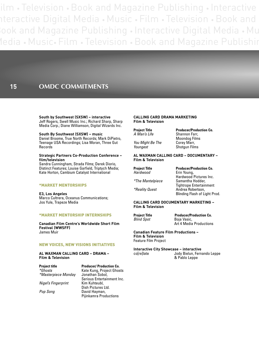ilm • Television • Book and Magazine Publishing • Interactive nteractive Digital Media • Music • Film • Television • Book and Book and Magazine Publishing • Interactive Digital Media • Mu Media • Music• Film • Television • Book and Magazine Publishin

### **15 OMDC COMMITMENTS**

**South by Southwest (SXSW) – interactive** Jeff Rogers, Swell Music Inc.; Richard Sharp, Sharp Media Corp.; Diane Williamson, Digital Wizards Inc.

**South By Southwest (SXSW) – music** Daniel Broome, True North Records; Mark DiPietro, Teenage USA Recordings; Lisa Moran, Three Gut Records

#### **Strategic Partners Co-Production Conference – film/television**

Sandra Cunningham, Strada Films; Derek Diorio, Distinct Features; Louise Garfield, Triptych Media; Kate Horton, Cambium Catalyst International

#### \*MARKET MENTORSHIPS

**E3, Los Angeles** Marco Cultrera, Oceanus Communications; Jos Yule, Trapeze Media

#### \*MARKET MENTORSHIP INTERNSHIPS

**Canadian Film Centre's Worldwide Short Film Festival (WWSFF)** James Muir

#### NEW VOICES, NEW VISIONS INITIATIVES

**AL WAXMAN CALLING CARD – DRAMA – Film & Television**

**Project title Producer/ Production Co.**<br> *\*Ghosts* Kate Kung. Project Ghost  $*$ Masterpiece Monday

**Nigel's Fingerprint** 

Kate Kung, Project Ghosts<br>Jonathan Sobol, Serious Entertainment Inc.<br>Kim Kuhteubl. Dish Pictures Ltd. *Pop Song* David Hayman, Pijinkamra Productions

#### **CALLING CARD DRAMA MARKETING Film & Television**

*You Might Be The*<br>Youngest

**Project Title Producer/Production Co.**<br>
A Man's Life Shannon Farr, **Shannon Farr,** Moondog Films<br>Corey Marr, *Shotgun Films* 

#### **AL WAXMAN CALLING CARD – DOCUMENTARY – Film & Television**

*Hardwood* Erin Young,

**Project Title Producer/Production Co.**<br> **Production Contains Example Production Co.**<br> **Product** Erin Young. Hardwood Pictures Inc. *\*The Mantelpiece* Samantha Hodder, Tightrope Entertainment *\*Reality Quest* Andrea Robertson, Blinding Flash of Light Prod.

#### **CALLING CARD DOCUMENTARY MARKETING – Film & Television**

**Project Title Producer/Production Co.**<br> **Boja Vasic,** *Blind Spot* Boja Vasic, Art 4 Media Productions

**Canadian Feature Film Productions – Film & Television** Feature Film Project

**Interactive City Showcase – interactive** co[re]late Jody Bielun, Fernando Leppe & Pablo Leppe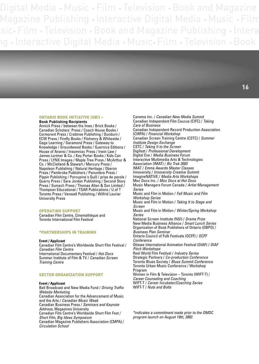#### ONTARIO BOOK INITIATIVE (OBI) – **Book Publishing Recipients**

Annick Press / between the lines / Brick Books / Canadian Scholars' Press / Coach House Books / Cormorant Press / Crabtree Publishing / Dundurn / ECW Press / Firefly Books / Fitzhenry & Whiteside / Gage Learning / Garamond Press / Gateway to Knowledge / Groundwood Books / Guernica Editions / House of Anansi / Insomniac Press / Irwin Law / James Lorimer & Co. / Key Porter Books / Kids Can Press / LYNX Images / Maple Tree Press / McArthur & Co. / McClelland & Stewart / Mercury Press / Napoleon Publishing / Natural Heritage / Oberon Press / Pembroke Publishers / Penumbra Press / Pippin Publishing / Porcupine's Quill / prise de parole / Quarry Press / Sara Jordan Publishing / Second Story Press / Sumach Press / Thomas Allen & Son Limited / Thompson Educational / TSAR Publications / U of T Toronto Press / Vanwell Publishing / Wilfrid Laurier University Press

#### OPERATING SUPPORT

Canadian Film Centre, Cinemathèque and Toronto International Film Festival

#### \*PARTNERSHIPS IN TRAINING

#### **Event / Applicant**

Canadian Film Centre's Worldwide Short Film Festival / *Canadian Film Centre* International Documentary Festival / *Hot Docs* Summer Institute of Film & TV / *Canadian Screen Training Centre*

#### SECTOR ORGANIZATION SUPPORT

#### **Event / Applicant**

Bell Broadcast and New Media Fund / *Driving Traffic Website Marketing* Canadian Association for the Advancement of Music and the Arts / *Canadian Music Week* Canadian Business Press / *Seminars and Keynote Address,* Magazines University Canadian Film Centre's Worldwide Short Film Fest / *Short Film, Big Ideas Symposium* Canadian Magazine Publishers Association (CMPA) / *Circulation School*

Canema Inc. / *Canadian New Media Summit* Canadian Independent Film Caucus (CIFC) / *Taking Care of Business* Canadian Independent Record Production Association (CIRPA) / *Financial Workshop* Canadian Screen Training Centre (CSTC) / *Summer Institute Design Exchange* CSTC / *Taking It to the Screen* Digifest / *Professional Development* Digital Eve / *Media Business Forum* Interactive Multimedia Arts & Technologies Association (IMAT) / *Biz Trak 2003*  IMAT / *Emma Awards Master Classes* Innoversity / *Innoversity Creative Summit* ImagineNATIVE / *Media Arts Workshops* Moc Docs Inc. / *Moc Docs at Hot Docs* Music Managers Forum Canada / *Artist Management Series* Music and Film in Motion / *Fall Music and Film Workshop Series* Music and Film in Motion / *Taking It to Stage and Screen* Music and Film in Motion / *Winter/Spring Workshop Series* National Screen Institute (NSI) / *Drama Prize* New Media Business Alliance / *Smart Lunch Series* Organization of Book Publishers of Ontario (OBPO) / *Business Plan Seminar* Ontario Council of Folk Festivals (OCFF) / *OCFF Conference* Ottawa International Animation Festival (OIAF) / *OIAF Pitch Workshops* Reel World Film Festival / *Industry Series* Strategic Partners / *Co-production Conference* Toronto Blues Society / *Blues Summit Conference* Toronto Urban Music Conference / Workshop Program Women in Film & Television – Toronto (WIFT-T) / *Career Counseling and Coaching* WIFT-T / *Career Incubator/Coaching Series* WIFT-T / *Nuts and Bolts*

*\*indicates a commitment made prior to the OMDC program launch on August 19th, 2002.*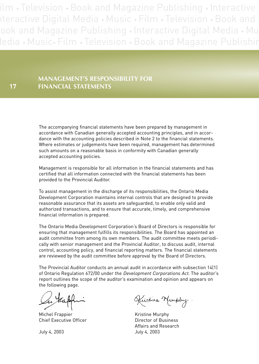ilm • Television • Book and Magazine Publishing • Interactive nteractive Digital Media • Music • Film • Television • Book and ook and Magazine Publishing • Interactive Digital Media • Mu ledia • Music• Film • Television • Book and Magazine Publishir

### **MANAGEMENT'S RESPONSIBILITY FOR FINANCIAL STATEMENTS**

**17**

The accompanying financial statements have been prepared by management in accordance with Canadian generally accepted accounting principles, and in accordance with the accounting policies described in Note 2 to the financial statements. Where estimates or judgements have been required, management has determined such amounts on a reasonable basis in conformity with Canadian generally accepted accounting policies.

Management is responsible for all information in the financial statements and has certified that all information connected with the financial statements has been provided to the Provincial Auditor.

To assist management in the discharge of its responsibilities, the Ontario Media Development Corporation maintains internal controls that are designed to provide reasonable assurance that its assets are safeguarded, to enable only valid and authorized transactions, and to ensure that accurate, timely, and comprehensive financial information is prepared.

The Ontario Media Development Corporation's Board of Directors is responsible for ensuring that management fulfills its responsibilities. The Board has appointed an audit committee from among its own members. The audit committee meets periodically with senior management and the Provincial Auditor, to discuss audit, internal control, accounting policy, and financial reporting matters. The financial statements are reviewed by the audit committee before approval by the Board of Directors.

The Provincial Auditor conducts an annual audit in accordance with subsection 14(1) of Ontario Regulation 672/00 under the Development Corporations Act. The auditor's report outlines the scope of the auditor's examination and opinion and appears on the following page.

Michel Frappier **Kristine Murphy** Chief Executive Officer **Director of Business** 

Kustine Murphy.

Affairs and Research July 4, 2003 July 4, 2003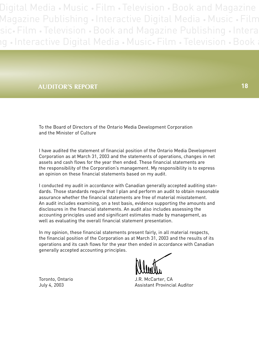### **AUDITOR'S REPORT 18**

To the Board of Directors of the Ontario Media Development Corporation and the Minister of Culture

I have audited the statement of financial position of the Ontario Media Development Corporation as at March 31, 2003 and the statements of operations, changes in net assets and cash flows for the year then ended. These financial statements are the responsibility of the Corporation's management. My responsibility is to express an opinion on these financial statements based on my audit.

I conducted my audit in accordance with Canadian generally accepted auditing standards. Those standards require that I plan and perform an audit to obtain reasonable assurance whether the financial statements are free of material misstatement. An audit includes examining, on a test basis, evidence supporting the amounts and disclosures in the financial statements. An audit also includes assessing the accounting principles used and significant estimates made by management, as well as evaluating the overall financial statement presentation.

In my opinion, these financial statements present fairly, in all material respects, the financial position of the Corporation as at March 31, 2003 and the results of its operations and its cash flows for the year then ended in accordance with Canadian generally accepted accounting principles.

Toronto, Ontario **Marko Accepts** J.R. McCarter, CA July 4, 2003 Assistant Provincial Auditor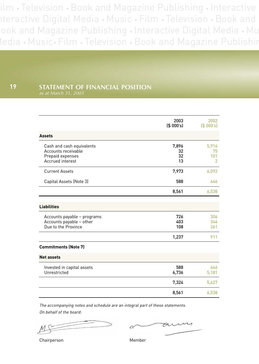ilm • Television • Book and Magazine Publishing • Interactive nteractive Digital Media • Music • Film • Television • Book and ook and Magazine Publishing • Interactive Digital Media • Mu Media • Music• Film • Television • Book and Magazine Publishin

#### **STATEMENT OF FINANCIAL POSITION 19**

|                                                                                          | 2003<br>(S 000's)       | 2002<br>(S 000's)                    |
|------------------------------------------------------------------------------------------|-------------------------|--------------------------------------|
| <b>Assets</b>                                                                            |                         |                                      |
| Cash and cash equivalents<br>Accounts receivable<br>Prepaid expenses<br>Accrued interest | 7,896<br>32<br>32<br>13 | 5,914<br>75<br>101<br>$\overline{2}$ |
| <b>Current Assets</b>                                                                    | 7,973                   | 6,092                                |
| Capital Assets (Note 3)                                                                  | 588                     | 446                                  |
|                                                                                          | 8,561                   | 6,538                                |
| <b>Liabilities</b>                                                                       |                         |                                      |
| Accounts payable - programs<br>Accounts payable - other<br>Due to the Province           | 726<br>403<br>108       | 306<br>344<br>261                    |
|                                                                                          | 1,237                   | 911                                  |
| <b>Commitments (Note 7)</b>                                                              |                         |                                      |
| <b>Net assets</b>                                                                        |                         |                                      |
| Invested in capital assets<br>Unrestricted                                               | 588<br>6,736            | 446<br>5,181                         |
|                                                                                          | 7,324                   | 5,627                                |
|                                                                                          | 8,561                   | 6,538                                |

The accompanying notes and schedule are an integral part of these statements. On behalf of the board:

Chairperson Member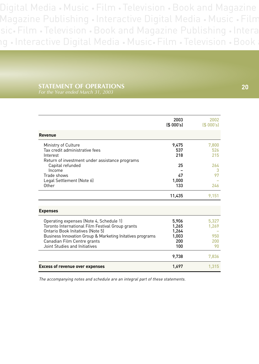## **STATEMENT OF OPERATIONS 20**

|                                                                                                                                                                                                                                                              | 2003<br>(S 000's)                              | 2002<br>(S 000's)                  |
|--------------------------------------------------------------------------------------------------------------------------------------------------------------------------------------------------------------------------------------------------------------|------------------------------------------------|------------------------------------|
| <b>Revenue</b>                                                                                                                                                                                                                                               |                                                |                                    |
| Ministry of Culture<br>Tax credit administrative fees<br>Interest<br>Return of investment under assistance programs                                                                                                                                          | 9,475<br>537<br>218                            | 7,800<br>526<br>215                |
| Capital refunded<br>Income<br>Trade shows<br>Legal Settlement (Note 6)<br>Other                                                                                                                                                                              | 25<br>47<br>1,000<br>133                       | 264<br>з<br>97<br>246              |
|                                                                                                                                                                                                                                                              | 11,435                                         | 9,151                              |
| <b>Expenses</b>                                                                                                                                                                                                                                              |                                                |                                    |
| Operating expenses (Note 4, Schedule 1)<br>Toronto International Film Festival Group grants<br>Ontario Book Initatives (Note 5)<br>Business Innovation Group & Marketing Initatives programs<br>Canadian Film Centre grants<br>Joint Studies and Initiatives | 5,906<br>1,265<br>1,264<br>1,003<br>200<br>100 | 5.327<br>1,269<br>950<br>200<br>90 |
|                                                                                                                                                                                                                                                              | 9,738                                          | 7,836                              |
| <b>Excess of revenue over expenses</b>                                                                                                                                                                                                                       | 1,697                                          | 1,315                              |

The accompanying notes and schedule are an integral part of these statements.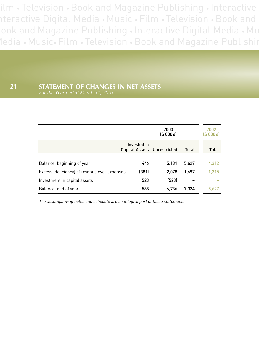ilm • Television • Book and Magazine Publishing • Interactive nteractive Digital Media • Music • Film • Television • Book and Book and Magazine Publishing • Interactive Digital Media • Mu Media • Music• Film • Television • Book and Magazine Publishin

### **21 STATEMENT OF CHANGES IN NET ASSETS** *For the Year ended March 31, 2003*

|                                              |             | 2003<br>(S 000's)           |       | 2002<br>(S 000's) |
|----------------------------------------------|-------------|-----------------------------|-------|-------------------|
|                                              | Invested in | Capital Assets Unrestricted | Total | Total             |
| Balance, beginning of year                   | 446         | 5,181                       | 5,627 | 4,312             |
| Excess (deficiency) of revenue over expenses | (381)       | 2,078                       | 1,697 | 1.315             |
| Investment in capital assets                 | 523         | (523)                       |       |                   |
| Balance, end of year                         | 588         | 6,736                       | 7,324 | 5.627             |

The accompanying notes and schedule are an integral part of these statements.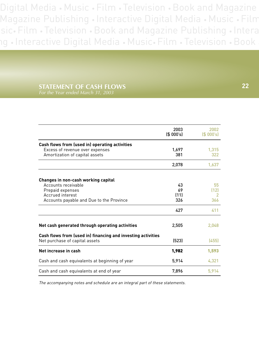# **STATEMENT OF CASH FLOWS**

2003 2002<br> **2003** (\$ 000's)  $($ \$ 000's) **Cash flows from (used in) operating activities** Excess of revenue over expenses 1,697 1,315 Amortization of capital assets 381 322 2,078 1,637 **Changes in non-cash working capital** Accounts receivable 43 55 Prepaid expenses 69 (12) Accrued interest Accounts payable and Due to the Province and a series 326 366 427 411 **Net cash generated through operating activities** 2,505 2,048 **Cash flows from (used in) financing and investing activities** Net purchase of capital assets (523) (455) **Net increase in cash** 1,593 Cash and cash equivalents at beginning of year 5,914 5,914 4,321 Cash and cash equivalents at end of year 75,896 7,896 5,914

The accompanying notes and schedule are an integral part of these statements.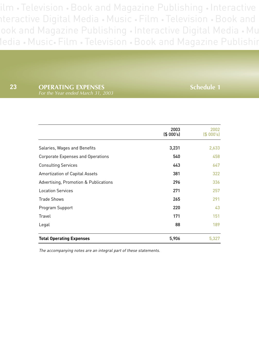ilm • Television • Book and Magazine Publishing • Interactive nteractive Digital Media • Music • Film • Television • Book and ook and Magazine Publishing • Interactive Digital Media • Mu Media • Music• Film • Television • Book and Magazine Publishin

**23 OPERATING EXPENSES Schedule 1** 

|                                       | 2003<br>(S 000's) | 2002<br>$(S$ 000's) |
|---------------------------------------|-------------------|---------------------|
| Salaries, Wages and Benefits          | 3,231             | 2,633               |
| Corporate Expenses and Operations     | 540               | 458                 |
| <b>Consulting Services</b>            | 443               | 647                 |
| <b>Amortization of Capital Assets</b> | 381               | 322                 |
| Advertising, Promotion & Publications | 296               | 336                 |
| <b>Location Services</b>              | 271               | 257                 |
| <b>Trade Shows</b>                    | 265               | 291                 |
| Program Support                       | 220               | 43                  |
| Travel                                | 171               | 151                 |
| Legal                                 | 88                | 189                 |
| <b>Total Operating Expenses</b>       | 5,906             | 5,327               |

The accompanying notes are an integral part of these statements.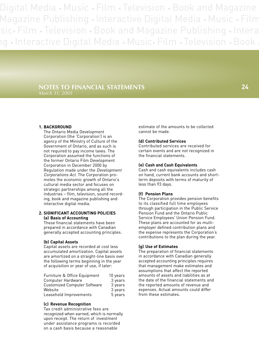### **NOTES TO FINANCIAL STATEMENTS** *March 31, 2003*

#### **1. BACKGROUND**

The Ontario Media Development Corporation (the 'Corporation') is an agency of the Ministry of Culture of the Government of Ontario, and as such is not required to pay income taxes. The Corporation assumed the functions of the former Ontario Film Development Corporation in December 2000 by Regulation made under the Development Corporations Act. The Corporation promotes the economic growth of Ontario's cultural media sector and focuses on strategic partnerships among all the industries – film, television, sound recording, book and magazine publishing and interactive digital media.

#### **2. SIGNIFICANT ACCOUNTING POLICIES (a) Basis of Accounting**

These financial statements have been prepared in accordance with Canadian generally accepted accounting principles.

#### **(b) Capital Assets**

Capital assets are recorded at cost less accumulated amortization. Capital assets are amortized on a straight-line basis over the following terms beginning in the year of acquisition or year of use, if later:

| Furniture & Office Equipment        | 10 years |
|-------------------------------------|----------|
| Computer Hardware                   | 3 years  |
| <b>Customized Computer Software</b> | 3 years  |
| Website                             | 3 years  |
| Leasehold Improvements              | 5 years  |

#### **(c) Revenue Recognition**

Tax credit administrative fees are recognized when earned, which is normally upon receipt. The return of investment under assistance programs is recorded on a cash basis because a reasonable

estimate of the amounts to be collected cannot be made.

#### **(d) Contributed Services**

Contributed services are received for certain events and are not recognized in the financial statements.

#### **(e) Cash and Cash Equivalents**

Cash and cash equivalents includes cash on hand, current bank accounts and shortterm deposits with terms of maturity of less than 93 days.

#### **(f) Pension Plans**

The Corporation provides pension benefits to its classified full time employees through participation in the Public Service Pension Fund and the Ontario Public Service Employees' Union Pension Fund. These plans are accounted for as multiemployer defined contribution plans and the expense represents the Corporation's contributions to the plan during the year.

#### **(g) Use of Estimates**

The preparation of financial statements in accordance with Canadian generally accepted accounting principles requires that management make estimates and assumptions that affect the reported amounts of assets and liabilities as at the date of the financial statements and the reported amounts of revenue and expenses. Actual amounts could differ from these estimates.